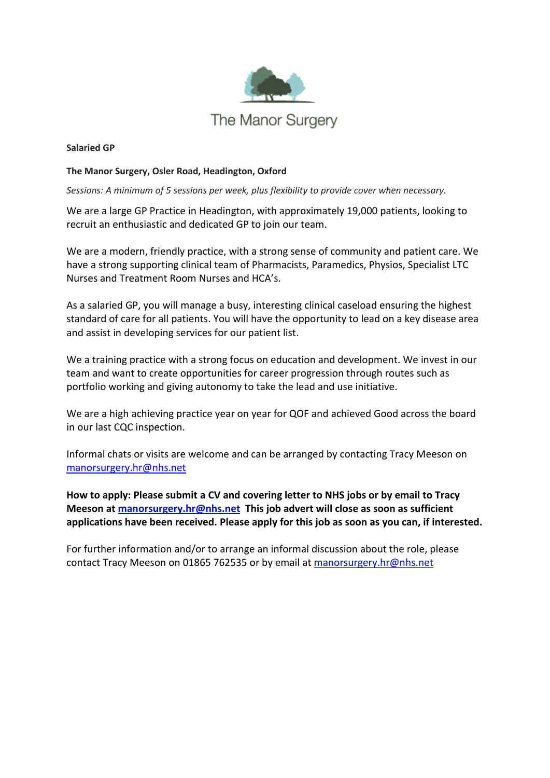

#### **Salaried GP**

#### **The Manor Surgery, Osler Road, Headington, Oxford**

*Sessions: A minimum of 5 sessions per week, plus flexibility to provide cover when necessary.* 

We are a large GP Practice in Headington, with approximately 19,000 patients, looking to recruit an enthusiastic and dedicated GP to join our team.

We are a modern, friendly practice, with a strong sense of community and patient care. We have a strong supporting clinical team of Pharmacists, Paramedics, Physios, Specialist LTC Nurses and Treatment Room Nurses and HCA's.

As a salaried GP, you will manage a busy, interesting clinical caseload ensuring the highest standard of care for all patients. You will have the opportunity to lead on a key disease area and assist in developing services for our patient list.

We a training practice with a strong focus on education and development. We invest in our team and want to create opportunities for career progression through routes such as portfolio working and giving autonomy to take the lead and use initiative.

We are a high achieving practice year on year for QOF and achieved Good across the board in our last CQC inspection.

Informal chats or visits are welcome and can be arranged by contacting Tracy Meeson on [manorsurgery.hr@nhs.net](mailto:manorsurgery.hr@nhs.net)

**How to apply: Please submit a CV and covering letter to NHS jobs or by email to Tracy Meeson at [manorsurgery.hr@nhs.net](mailto:manorsurgery.hr@nhs.net) This job advert will close as soon as sufficient applications have been received. Please apply for this job as soon as you can, if interested.**

For further information and/or to arrange an informal discussion about the role, please contact Tracy Meeson on 01865 762535 or by email at [manorsurgery.hr@nhs.net](mailto:manorsurgery.hr@nhs.net)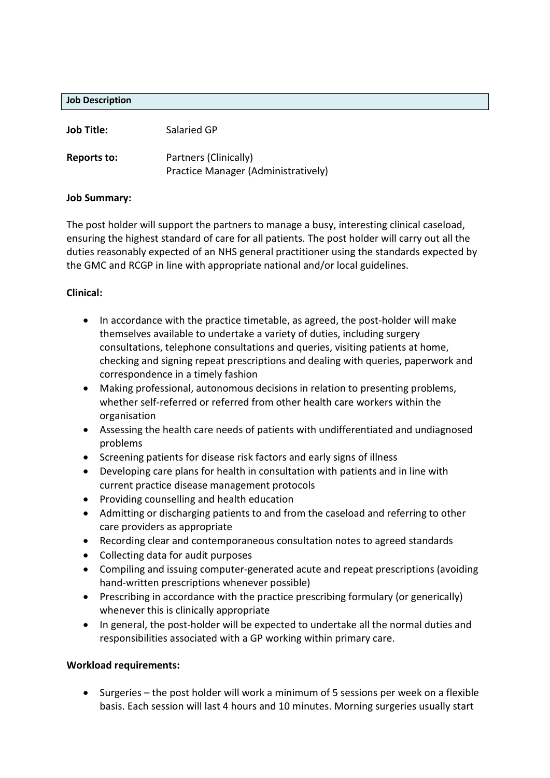#### **Job Description**

| <b>Job Title:</b> | Salaried GP                         |
|-------------------|-------------------------------------|
| Reports to:       | Partners (Clinically)               |
|                   | Practice Manager (Administratively) |

#### **Job Summary:**

The post holder will support the partners to manage a busy, interesting clinical caseload, ensuring the highest standard of care for all patients. The post holder will carry out all the duties reasonably expected of an NHS general practitioner using the standards expected by the GMC and RCGP in line with appropriate national and/or local guidelines.

### **Clinical:**

- In accordance with the practice timetable, as agreed, the post-holder will make themselves available to undertake a variety of duties, including surgery consultations, telephone consultations and queries, visiting patients at home, checking and signing repeat prescriptions and dealing with queries, paperwork and correspondence in a timely fashion
- Making professional, autonomous decisions in relation to presenting problems, whether self-referred or referred from other health care workers within the organisation
- Assessing the health care needs of patients with undifferentiated and undiagnosed problems
- Screening patients for disease risk factors and early signs of illness
- Developing care plans for health in consultation with patients and in line with current practice disease management protocols
- Providing counselling and health education
- Admitting or discharging patients to and from the caseload and referring to other care providers as appropriate
- Recording clear and contemporaneous consultation notes to agreed standards
- Collecting data for audit purposes
- Compiling and issuing computer-generated acute and repeat prescriptions (avoiding hand-written prescriptions whenever possible)
- Prescribing in accordance with the practice prescribing formulary (or generically) whenever this is clinically appropriate
- In general, the post-holder will be expected to undertake all the normal duties and responsibilities associated with a GP working within primary care.

### **Workload requirements:**

• Surgeries – the post holder will work a minimum of 5 sessions per week on a flexible basis. Each session will last 4 hours and 10 minutes. Morning surgeries usually start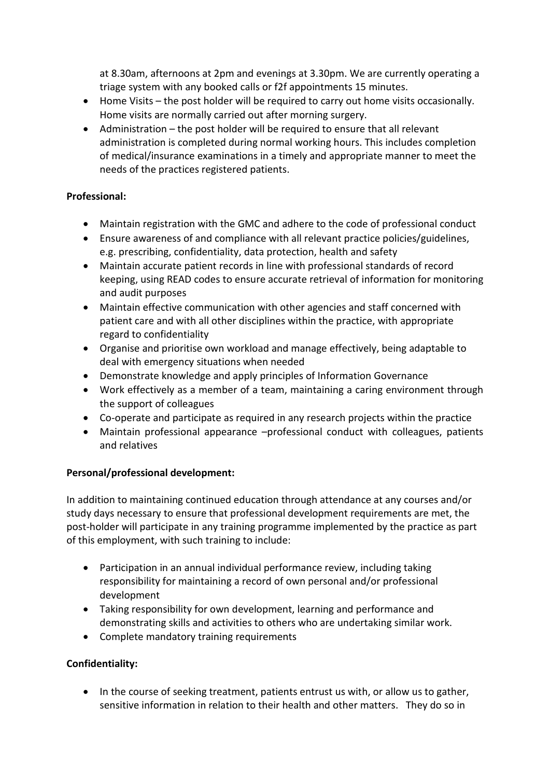at 8.30am, afternoons at 2pm and evenings at 3.30pm. We are currently operating a triage system with any booked calls or f2f appointments 15 minutes.

- Home Visits the post holder will be required to carry out home visits occasionally. Home visits are normally carried out after morning surgery.
- Administration the post holder will be required to ensure that all relevant administration is completed during normal working hours. This includes completion of medical/insurance examinations in a timely and appropriate manner to meet the needs of the practices registered patients.

## **Professional:**

- Maintain registration with the GMC and adhere to the code of professional conduct
- Ensure awareness of and compliance with all relevant practice policies/guidelines, e.g. prescribing, confidentiality, data protection, health and safety
- Maintain accurate patient records in line with professional standards of record keeping, using READ codes to ensure accurate retrieval of information for monitoring and audit purposes
- Maintain effective communication with other agencies and staff concerned with patient care and with all other disciplines within the practice, with appropriate regard to confidentiality
- Organise and prioritise own workload and manage effectively, being adaptable to deal with emergency situations when needed
- Demonstrate knowledge and apply principles of Information Governance
- Work effectively as a member of a team, maintaining a caring environment through the support of colleagues
- Co-operate and participate as required in any research projects within the practice
- Maintain professional appearance –professional conduct with colleagues, patients and relatives

# **Personal/professional development:**

In addition to maintaining continued education through attendance at any courses and/or study days necessary to ensure that professional development requirements are met, the post-holder will participate in any training programme implemented by the practice as part of this employment, with such training to include:

- Participation in an annual individual performance review, including taking responsibility for maintaining a record of own personal and/or professional development
- Taking responsibility for own development, learning and performance and demonstrating skills and activities to others who are undertaking similar work.
- Complete mandatory training requirements

# **Confidentiality:**

• In the course of seeking treatment, patients entrust us with, or allow us to gather, sensitive information in relation to their health and other matters. They do so in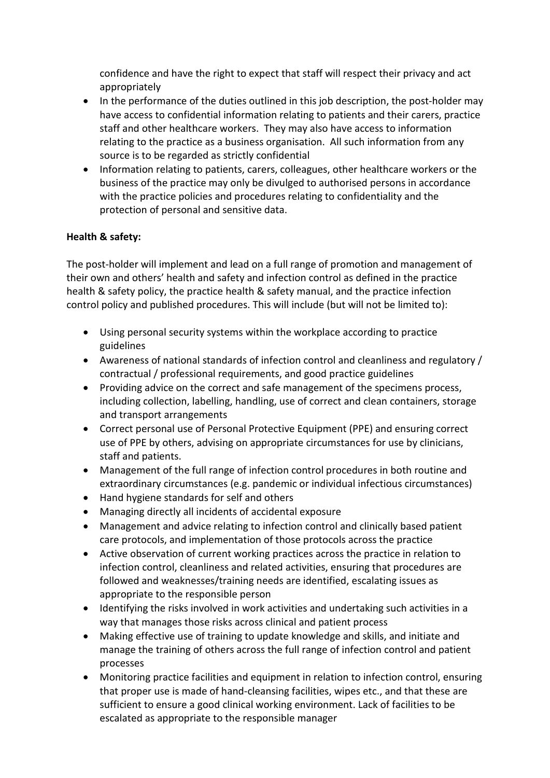confidence and have the right to expect that staff will respect their privacy and act appropriately

- In the performance of the duties outlined in this job description, the post-holder may have access to confidential information relating to patients and their carers, practice staff and other healthcare workers. They may also have access to information relating to the practice as a business organisation. All such information from any source is to be regarded as strictly confidential
- Information relating to patients, carers, colleagues, other healthcare workers or the business of the practice may only be divulged to authorised persons in accordance with the practice policies and procedures relating to confidentiality and the protection of personal and sensitive data.

## **Health & safety:**

The post-holder will implement and lead on a full range of promotion and management of their own and others' health and safety and infection control as defined in the practice health & safety policy, the practice health & safety manual, and the practice infection control policy and published procedures. This will include (but will not be limited to):

- Using personal security systems within the workplace according to practice guidelines
- Awareness of national standards of infection control and cleanliness and regulatory / contractual / professional requirements, and good practice guidelines
- Providing advice on the correct and safe management of the specimens process, including collection, labelling, handling, use of correct and clean containers, storage and transport arrangements
- Correct personal use of Personal Protective Equipment (PPE) and ensuring correct use of PPE by others, advising on appropriate circumstances for use by clinicians, staff and patients.
- Management of the full range of infection control procedures in both routine and extraordinary circumstances (e.g. pandemic or individual infectious circumstances)
- Hand hygiene standards for self and others
- Managing directly all incidents of accidental exposure
- Management and advice relating to infection control and clinically based patient care protocols, and implementation of those protocols across the practice
- Active observation of current working practices across the practice in relation to infection control, cleanliness and related activities, ensuring that procedures are followed and weaknesses/training needs are identified, escalating issues as appropriate to the responsible person
- Identifying the risks involved in work activities and undertaking such activities in a way that manages those risks across clinical and patient process
- Making effective use of training to update knowledge and skills, and initiate and manage the training of others across the full range of infection control and patient processes
- Monitoring practice facilities and equipment in relation to infection control, ensuring that proper use is made of hand-cleansing facilities, wipes etc., and that these are sufficient to ensure a good clinical working environment. Lack of facilities to be escalated as appropriate to the responsible manager